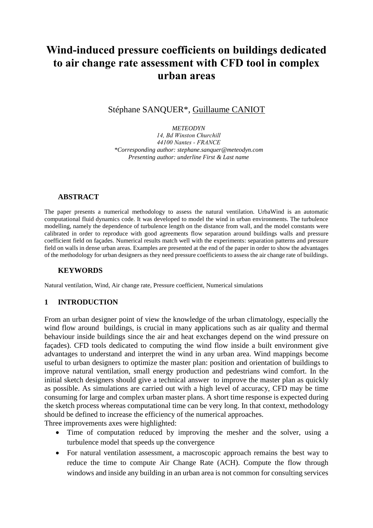# **Wind-induced pressure coefficients on buildings dedicated to air change rate assessment with CFD tool in complex urban areas**

Stéphane SANQUER\*, Guillaume CANIOT

*METEODYN 14, Bd Winston Churchill 44100 Nantes - FRANCE \*Corresponding author: stephane.sanquer@meteodyn.com Presenting author: underline First & Last name*

## **ABSTRACT**

The paper presents a numerical methodology to assess the natural ventilation. UrbaWind is an automatic computational fluid dynamics code. It was developed to model the wind in urban environments. The turbulence modelling, namely the dependence of turbulence length on the distance from wall, and the model constants were calibrated in order to reproduce with good agreements flow separation around buildings walls and pressure coefficient field on façades. Numerical results match well with the experiments: separation patterns and pressure field on walls in dense urban areas. Examples are presented at the end of the paper in order to show the advantages of the methodology for urban designers as they need pressure coefficients to assess the air change rate of buildings.

#### **KEYWORDS**

Natural ventilation, Wind, Air change rate, Pressure coefficient, Numerical simulations

#### **1 INTRODUCTION**

From an urban designer point of view the knowledge of the urban climatology, especially the wind flow around buildings, is crucial in many applications such as air quality and thermal behaviour inside buildings since the air and heat exchanges depend on the wind pressure on façades). CFD tools dedicated to computing the wind flow inside a built environment give advantages to understand and interpret the wind in any urban area. Wind mappings become useful to urban designers to optimize the master plan: position and orientation of buildings to improve natural ventilation, small energy production and pedestrians wind comfort. In the initial sketch designers should give a technical answer to improve the master plan as quickly as possible. As simulations are carried out with a high level of accuracy, CFD may be time consuming for large and complex urban master plans. A short time response is expected during the sketch process whereas computational time can be very long. In that context, methodology should be defined to increase the efficiency of the numerical approaches.

Three improvements axes were highlighted:

- Time of computation reduced by improving the mesher and the solver, using a turbulence model that speeds up the convergence
- For natural ventilation assessment, a macroscopic approach remains the best way to reduce the time to compute Air Change Rate (ACH). Compute the flow through windows and inside any building in an urban area is not common for consulting services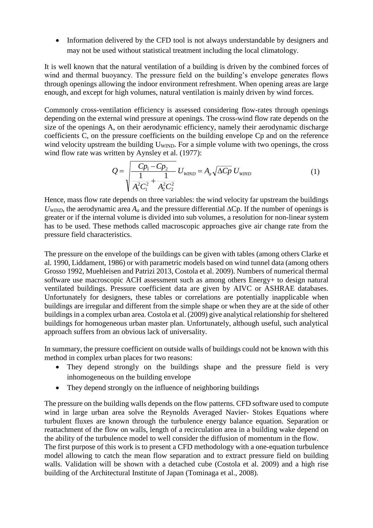• Information delivered by the CFD tool is not always understandable by designers and may not be used without statistical treatment including the local climatology.

It is well known that the natural ventilation of a building is driven by the combined forces of wind and thermal buoyancy. The pressure field on the building's envelope generates flows through openings allowing the indoor environment refreshment. When opening areas are large enough, and except for high volumes, natural ventilation is mainly driven by wind forces.

Commonly cross-ventilation efficiency is assessed considering flow-rates through openings depending on the external wind pressure at openings. The cross-wind flow rate depends on the size of the openings A, on their aerodynamic efficiency, namely their aerodynamic discharge coefficients C, on the pressure coefficients on the building envelope Cp and on the reference wind velocity upstream the building U<sub>WIND</sub>. For a simple volume with two openings, the cross wind flow rate was written by Aynsley et al. (1977):

$$
Q = \sqrt{\frac{Cp_1 - Cp_2}{\frac{1}{A_1^2 C_1^2} + \frac{1}{A_2^2 C_2^2}} U_{WIND}} = A_a \sqrt{\Delta C p} U_{WIND}
$$
 (1)

Hence, mass flow rate depends on three variables: the wind velocity far upstream the buildings  $U_{WIND}$ , the aerodynamic area  $A_a$  and the pressure differential  $\Delta C$ p. If the number of openings is greater or if the internal volume is divided into sub volumes, a resolution for non-linear system has to be used. These methods called macroscopic approaches give air change rate from the pressure field characteristics.

The pressure on the envelope of the buildings can be given with tables (among others Clarke et al. 1990, Liddament, 1986) or with parametric models based on wind tunnel data (among others Grosso 1992, Muehleisen and Patrizi 2013, Costola et al. 2009). Numbers of numerical thermal software use macroscopic ACH assessment such as among others Energy+ to design natural ventilated buildings. Pressure coefficient data are given by AIVC or ASHRAE databases. Unfortunately for designers, these tables or correlations are potentially inapplicable when buildings are irregular and different from the simple shape or when they are at the side of other buildings in a complex urban area. Costola et al. (2009) give analytical relationship for sheltered buildings for homogeneous urban master plan. Unfortunately, although useful, such analytical approach suffers from an obvious lack of universality.

In summary, the pressure coefficient on outside walls of buildings could not be known with this method in complex urban places for two reasons:

- They depend strongly on the buildings shape and the pressure field is very inhomogeneous on the building envelope
- They depend strongly on the influence of neighboring buildings

The pressure on the building walls depends on the flow patterns. CFD software used to compute wind in large urban area solve the Reynolds Averaged Navier- Stokes Equations where turbulent fluxes are known through the turbulence energy balance equation. Separation or reattachment of the flow on walls, length of a recirculation area in a building wake depend on the ability of the turbulence model to well consider the diffusion of momentum in the flow.

The first purpose of this work is to present a CFD methodology with a one-equation turbulence model allowing to catch the mean flow separation and to extract pressure field on building walls. Validation will be shown with a detached cube (Costola et al. 2009) and a high rise building of the Architectural Institute of Japan (Tominaga et al., 2008).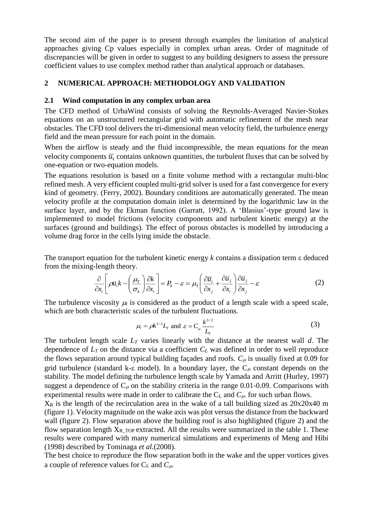The second aim of the paper is to present through examples the limitation of analytical approaches giving Cp values especially in complex urban areas. Order of magnitude of discrepancies will be given in order to suggest to any building designers to assess the pressure coefficient values to use complex method rather than analytical approach or databases.

# **2 NUMERICAL APPROACH: METHODOLOGY AND VALIDATION**

## **2.1 Wind computation in any complex urban area**

The CFD method of UrbaWind consists of solving the Reynolds-Averaged Navier-Stokes equations on an unstructured rectangular grid with automatic refinement of the mesh near obstacles. The CFD tool delivers the tri-dimensional mean velocity field, the turbulence energy field and the mean pressure for each point in the domain.

When the airflow is steady and the fluid incompressible, the mean equations for the mean velocity components  $\bar{u}$ , contains unknown quantities, the turbulent fluxes that can be solved by one-equation or two-equation models.

The equations resolution is based on a finite volume method with a rectangular multi-bloc refined mesh. A very efficient coupled multi-grid solver is used for a fast convergence for every kind of geometry. (Ferry, 2002). Boundary conditions are automatically generated. The mean velocity profile at the computation domain inlet is determined by the logarithmic law in the surface layer, and by the Ekman function (Garratt, 1992). A 'Blasius'-type ground law is implemented to model frictions (velocity components and turbulent kinetic energy) at the surfaces (ground and buildings). The effect of porous obstacles is modelled by introducing a volume drag force in the cells lying inside the obstacle.

The transport equation for the turbulent kinetic energy  $k$  contains a dissipation term  $\varepsilon$  deduced from the mixing-length theory.

$$
\frac{\partial}{\partial x_i} \left[ \rho \overline{u}_i k - \left( \frac{\mu_r}{\sigma_k} \right) \frac{\partial k}{\partial x_i} \right] = P_k - \varepsilon = \mu_r \left( \frac{\partial \overline{u}_i}{\partial x_j} + \frac{\partial \overline{u}_j}{\partial x_i} \right) \frac{\partial \overline{u}_j}{\partial x_j} - \varepsilon
$$
\n(2)

The turbulence viscosity  $\mu_t$  is considered as the product of a length scale with a speed scale, which are both characteristic scales of the turbulent fluctuations.

$$
\mu_{t} = \rho k^{1/2} L_{r} \text{ and } \varepsilon = C_{\mu} \frac{k^{3/2}}{L_{r}}
$$
\n(3)

The turbulent length scale *L<sup>T</sup>* varies linearly with the distance at the nearest wall *d*. The dependence of *L<sup>T</sup>* on the distance via a coefficient *C<sup>L</sup>* was defined in order to well reproduce the flows separation around typical building façades and roofs.  $C_{\mu}$  is usually fixed at 0.09 for grid turbulence (standard k- $\varepsilon$  model). In a boundary layer, the  $C_{\mu}$  constant depends on the stability. The model defining the turbulence length scale by Yamada and Arritt (Hurley, 1997) suggest a dependence of  $C_{\mu}$  on the stability criteria in the range 0.01-0.09. Comparisons with experimental results were made in order to calibrate the  $C_L$  and  $C_{\mu}$  for such urban flows.

 $X_R$  is the length of the recirculation area in the wake of a tall building sized as  $20x20x40$  m (figure 1). Velocity magnitude on the wake axis was plot versus the distance from the backward wall (figure 2). Flow separation above the building roof is also highlighted (figure 2) and the flow separation length  $X_R$  <sub>TOP</sub> extracted. All the results were summarized in the table 1. These results were compared with many numerical simulations and experiments of Meng and Hibi (1998) described by Tominaga *et al.*(2008).

The best choice to reproduce the flow separation both in the wake and the upper vortices gives a couple of reference values for  $C_{\text{L}}$  and  $C_{\mu}$ .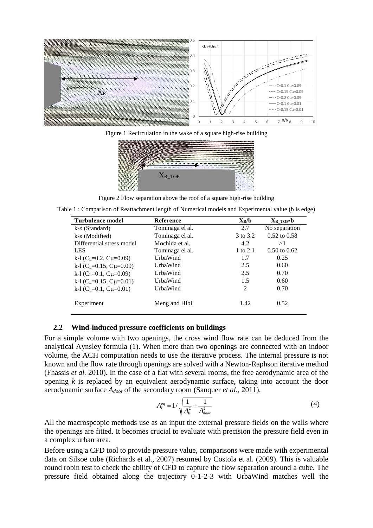

Figure 1 Recirculation in the wake of a square high-rise building



Figure 2 Flow separation above the roof of a square high-rise building

Table 1 : Comparison of Reattachment length of Numerical models and Experimental value (b is edge)

| <b>Turbulence model</b>                          | <b>Reference</b> | $X_R/b$        | $X_{R\_TOP}/b$          |
|--------------------------------------------------|------------------|----------------|-------------------------|
| $k$ -ε (Standard)                                | Tominaga el al.  | 2.7            | No separation           |
| $k$ -ε (Modified)                                | Tominaga el al.  | 3 to 3.2       | $0.52$ to $0.58$        |
| Differential stress model                        | Mochida et al.   | 4.2            | >1                      |
| <b>LES</b>                                       | Tominaga el al.  | 1 to 2.1       | $0.50 \text{ to } 0.62$ |
| k-1 (C <sub>L</sub> =0.2, C <sub>u</sub> =0.09)  | UrbaWind         | 1.7            | 0.25                    |
| k-1 (C <sub>L</sub> =0.15, C <sub>u</sub> =0.09) | UrbaWind         | 2.5            | 0.60                    |
| k-1 (C <sub>L</sub> =0.1, C <sub>µ</sub> =0.09)  | UrbaWind         | 2.5            | 0.70                    |
| k-1 (C <sub>L</sub> =0.15, C <sub>u</sub> =0.01) | UrbaWind         | 1.5            | 0.60                    |
| k-1 ( $C_L$ =0.1, $C_{\mu}$ =0.01)               | UrbaWind         | $\mathfrak{D}$ | 0.70                    |
| Experiment                                       | Meng and Hibi    | 1.42           | 0.52                    |

#### **2.2 Wind-induced pressure coefficients on buildings**

For a simple volume with two openings, the cross wind flow rate can be deduced from the analytical Aynsley formula (1). When more than two openings are connected with an indoor volume, the ACH computation needs to use the iterative process. The internal pressure is not known and the flow rate through openings are solved with a Newton-Raphson iterative method (Fhassis *et al.* 2010). In the case of a flat with several rooms, the free aerodynamic area of the opening *k* is replaced by an equivalent aerodynamic surface, taking into account the door aerodynamic surface *Adoo*<sup>r</sup> of the secondary room (Sanquer *et al.*, 2011).

$$
A_k^{eq} = 1 / \sqrt{\frac{1}{A_k^2} + \frac{1}{A_{door}^2}}
$$
 (4)

All the macrospcopic methods use as an input the external pressure fields on the walls where the openings are fitted. It becomes crucial to evaluate with precision the pressure field even in a complex urban area.

Before using a CFD tool to provide pressure value, comparisons were made with experimental data on Silsoe cube (Richards et al., 2007) resumed by Costola et al. (2009). This is valuable round robin test to check the ability of CFD to capture the flow separation around a cube. The pressure field obtained along the trajectory 0-1-2-3 with UrbaWind matches well the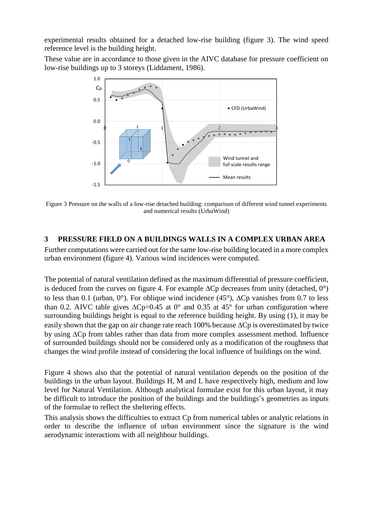experimental results obtained for a detached low-rise building (figure 3). The wind speed reference level is the building height.

These value are in accordance to those given in the AIVC database for pressure coefficient on low-rise buildings up to 3 storeys (Liddament, 1986).



Figure 3 Pressure on the walls of a low-rise detached building: comparison of different wind tunnel experiments and numerical results (UrbaWind)

## **3 PRESSURE FIELD ON A BUILDINGS WALLS IN A COMPLEX URBAN AREA**

Further computations were carried out for the same low-rise building located in a more complex urban environment (figure 4). Various wind incidences were computed.

The potential of natural ventilation defined as the maximum differential of pressure coefficient, is deduced from the curves on figure 4. For example  $\Delta Cp$  decreases from unity (detached,  $0^{\circ}$ ) to less than 0.1 (urban,  $0^{\circ}$ ). For oblique wind incidence (45°),  $\Delta C$ p vanishes from 0.7 to less than 0.2. AIVC table gives  $\Delta$ Cp=0.45 at 0° and 0.35 at 45° for urban configuration where surrounding buildings height is equal to the reference building height. By using (1), it may be easily shown that the gap on air change rate reach 100% because  $\Delta Cp$  is overestimated by twice by using ACp from tables rather than data from more complex assessment method. Influence of surrounded buildings should not be considered only as a modification of the roughness that changes the wind profile instead of considering the local influence of buildings on the wind.

Figure 4 shows also that the potential of natural ventilation depends on the position of the buildings in the urban layout. Buildings H, M and L have respectively high, medium and low level for Natural Ventilation. Although analytical formulae exist for this urban layout, it may be difficult to introduce the position of the buildings and the buildings's geometries as inputs of the formulae to reflect the sheltering effects.

This analysis shows the difficulties to extract Cp from numerical tables or analytic relations in order to describe the influence of urban environment since the signature is the wind aerodynamic interactions with all neighbour buildings.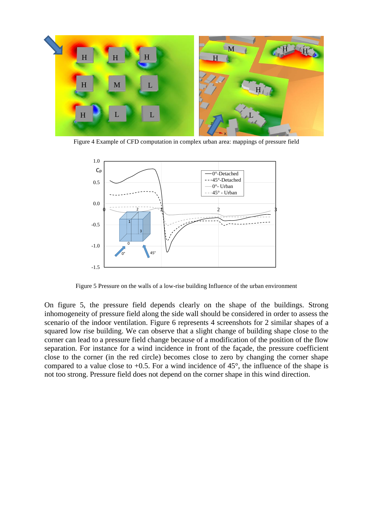

Figure 4 Example of CFD computation in complex urban area: mappings of pressure field



Figure 5 Pressure on the walls of a low-rise building Influence of the urban environment

On figure 5, the pressure field depends clearly on the shape of the buildings. Strong inhomogeneity of pressure field along the side wall should be considered in order to assess the scenario of the indoor ventilation. Figure 6 represents 4 screenshots for 2 similar shapes of a squared low rise building. We can observe that a slight change of building shape close to the corner can lead to a pressure field change because of a modification of the position of the flow separation. For instance for a wind incidence in front of the façade, the pressure coefficient close to the corner (in the red circle) becomes close to zero by changing the corner shape compared to a value close to +0.5. For a wind incidence of 45°, the influence of the shape is not too strong. Pressure field does not depend on the corner shape in this wind direction.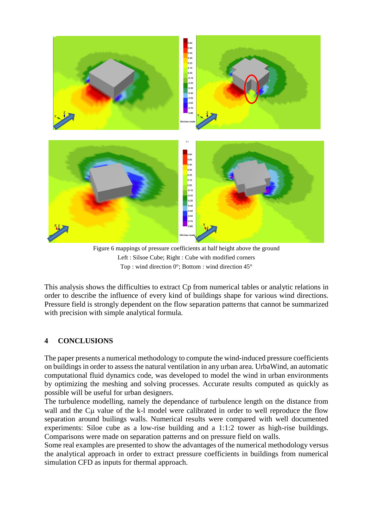

Figure 6 mappings of pressure coefficients at half height above the ground Left : Silsoe Cube; Right : Cube with modified corners Top : wind direction 0°; Bottom : wind direction 45°

This analysis shows the difficulties to extract Cp from numerical tables or analytic relations in order to describe the influence of every kind of buildings shape for various wind directions. Pressure field is strongly dependent on the flow separation patterns that cannot be summarized with precision with simple analytical formula.

## **4 CONCLUSIONS**

The paper presents a numerical methodology to compute the wind-induced pressure coefficients on buildings in order to assess the natural ventilation in any urban area. UrbaWind, an automatic computational fluid dynamics code, was developed to model the wind in urban environments by optimizing the meshing and solving processes. Accurate results computed as quickly as possible will be useful for urban designers.

The turbulence modelling, namely the dependance of turbulence length on the distance from wall and the  $C\mu$  value of the k-l model were calibrated in order to well reproduce the flow separation around builings walls. Numerical results were compared with well documented experiments: Siloe cube as a low-rise building and a 1:1:2 tower as high-rise buildings. Comparisons were made on separation patterns and on pressure field on walls.

Some real examples are presented to show the advantages of the numerical methodology versus the analytical approach in order to extract pressure coefficients in buildings from numerical simulation CFD as inputs for thermal approach.